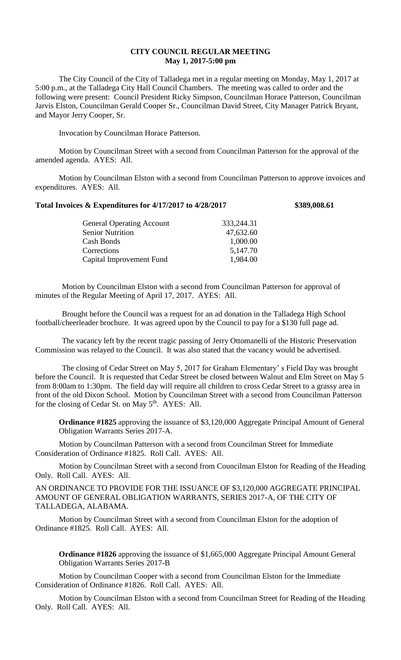## **CITY COUNCIL REGULAR MEETING May 1, 2017-5:00 pm**

The City Council of the City of Talladega met in a regular meeting on Monday, May 1, 2017 at 5:00 p.m., at the Talladega City Hall Council Chambers. The meeting was called to order and the following were present: Council President Ricky Simpson, Councilman Horace Patterson, Councilman Jarvis Elston, Councilman Gerald Cooper Sr., Councilman David Street, City Manager Patrick Bryant, and Mayor Jerry Cooper, Sr.

Invocation by Councilman Horace Patterson.

Motion by Councilman Street with a second from Councilman Patterson for the approval of the amended agenda. AYES: All.

Motion by Councilman Elston with a second from Councilman Patterson to approve invoices and expenditures. AYES: All.

## **Total Invoices & Expenditures for 4/17/2017 to 4/28/2017 \$389,008.61**

| 333,244.31 |
|------------|
| 47,632.60  |
| 1,000.00   |
| 5,147.70   |
| 1,984.00   |
|            |

Motion by Councilman Elston with a second from Councilman Patterson for approval of minutes of the Regular Meeting of April 17, 2017. AYES: All.

Brought before the Council was a request for an ad donation in the Talladega High School football/cheerleader brochure. It was agreed upon by the Council to pay for a \$130 full page ad.

The vacancy left by the recent tragic passing of Jerry Ottomanelli of the Historic Preservation Commission was relayed to the Council. It was also stated that the vacancy would be advertised.

The closing of Cedar Street on May 5, 2017 for Graham Elementary' s Field Day was brought before the Council. It is requested that Cedar Street be closed between Walnut and Elm Street on May 5 from 8:00am to 1:30pm. The field day will require all children to cross Cedar Street to a grassy area in front of the old Dixon School. Motion by Councilman Street with a second from Councilman Patterson for the closing of Cedar St. on May  $5<sup>th</sup>$ . AYES: All.

**Ordinance #1825** approving the issuance of \$3,120,000 Aggregate Principal Amount of General Obligation Warrants Series 2017-A.

Motion by Councilman Patterson with a second from Councilman Street for Immediate Consideration of Ordinance #1825. Roll Call. AYES: All.

Motion by Councilman Street with a second from Councilman Elston for Reading of the Heading Only. Roll Call. AYES: All.

AN ORDINANCE TO PROVIDE FOR THE ISSUANCE OF \$3,120,000 AGGREGATE PRINCIPAL AMOUNT OF GENERAL OBLIGATION WARRANTS, SERIES 2017-A, OF THE CITY OF TALLADEGA, ALABAMA.

Motion by Councilman Street with a second from Councilman Elston for the adoption of Ordinance #1825. Roll Call. AYES: All.

**Ordinance #1826** approving the issuance of \$1,665,000 Aggregate Principal Amount General Obligation Warrants Series 2017-B

Motion by Councilman Cooper with a second from Councilman Elston for the Immediate Consideration of Ordinance #1826. Roll Call. AYES: All.

Motion by Councilman Elston with a second from Councilman Street for Reading of the Heading Only. Roll Call. AYES: All.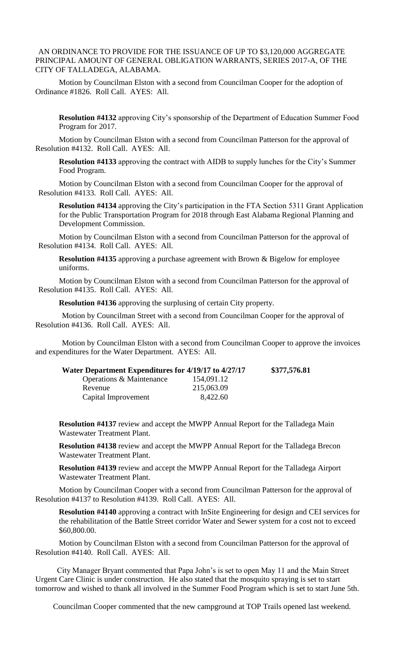## AN ORDINANCE TO PROVIDE FOR THE ISSUANCE OF UP TO \$3,120,000 AGGREGATE PRINCIPAL AMOUNT OF GENERAL OBLIGATION WARRANTS, SERIES 2017-A, OF THE CITY OF TALLADEGA, ALABAMA.

Motion by Councilman Elston with a second from Councilman Cooper for the adoption of Ordinance #1826. Roll Call. AYES: All.

**Resolution #4132** approving City's sponsorship of the Department of Education Summer Food Program for 2017.

Motion by Councilman Elston with a second from Councilman Patterson for the approval of Resolution #4132. Roll Call. AYES: All.

**Resolution #4133** approving the contract with AIDB to supply lunches for the City's Summer Food Program.

Motion by Councilman Elston with a second from Councilman Cooper for the approval of Resolution #4133. Roll Call. AYES: All.

**Resolution #4134** approving the City's participation in the FTA Section 5311 Grant Application for the Public Transportation Program for 2018 through East Alabama Regional Planning and Development Commission.

Motion by Councilman Elston with a second from Councilman Patterson for the approval of Resolution #4134. Roll Call. AYES: All.

**Resolution #4135** approving a purchase agreement with Brown & Bigelow for employee uniforms.

Motion by Councilman Elston with a second from Councilman Patterson for the approval of Resolution #4135. Roll Call. AYES: All.

**Resolution #4136** approving the surplusing of certain City property.

Motion by Councilman Street with a second from Councilman Cooper for the approval of Resolution #4136. Roll Call. AYES: All.

Motion by Councilman Elston with a second from Councilman Cooper to approve the invoices and expenditures for the Water Department. AYES: All.

| Water Department Expenditures for 4/19/17 to 4/27/17 |            | \$377,576.81 |
|------------------------------------------------------|------------|--------------|
| Operations & Maintenance                             | 154,091.12 |              |
| Revenue                                              | 215,063.09 |              |
| Capital Improvement                                  | 8,422.60   |              |

**Resolution #4137** review and accept the MWPP Annual Report for the Talladega Main Wastewater Treatment Plant.

**Resolution #4138** review and accept the MWPP Annual Report for the Talladega Brecon Wastewater Treatment Plant.

**Resolution #4139** review and accept the MWPP Annual Report for the Talladega Airport Wastewater Treatment Plant.

Motion by Councilman Cooper with a second from Councilman Patterson for the approval of Resolution #4137 to Resolution #4139. Roll Call. AYES: All.

**Resolution #4140** approving a contract with InSite Engineering for design and CEI services for the rehabilitation of the Battle Street corridor Water and Sewer system for a cost not to exceed \$60,800.00.

 Motion by Councilman Elston with a second from Councilman Patterson for the approval of Resolution #4140. Roll Call. AYES: All.

 City Manager Bryant commented that Papa John's is set to open May 11 and the Main Street Urgent Care Clinic is under construction. He also stated that the mosquito spraying is set to start tomorrow and wished to thank all involved in the Summer Food Program which is set to start June 5th.

Councilman Cooper commented that the new campground at TOP Trails opened last weekend.